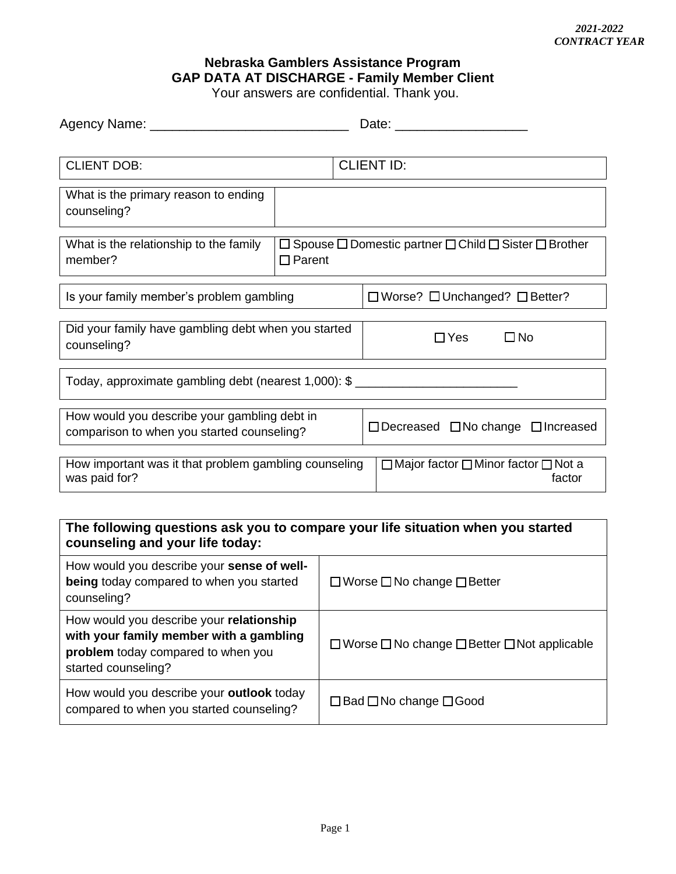## **Nebraska Gamblers Assistance Program GAP DATA AT DISCHARGE - Family Member Client**

Your answers are confidential. Thank you.

| Agency Name: _______                                                                                                                             |                                                                                                  | Date: Date:                                    |  |  |
|--------------------------------------------------------------------------------------------------------------------------------------------------|--------------------------------------------------------------------------------------------------|------------------------------------------------|--|--|
| <b>CLIENT DOB:</b>                                                                                                                               |                                                                                                  | <b>CLIENT ID:</b>                              |  |  |
| What is the primary reason to ending<br>counseling?                                                                                              |                                                                                                  |                                                |  |  |
| What is the relationship to the family<br>member?                                                                                                | $\Box$ Spouse $\Box$ Domestic partner $\Box$ Child $\Box$ Sister $\Box$ Brother<br>$\Box$ Parent |                                                |  |  |
| Is your family member's problem gambling                                                                                                         |                                                                                                  | $\Box$ Worse? $\Box$ Unchanged? $\Box$ Better? |  |  |
| Did your family have gambling debt when you started<br>counseling?                                                                               |                                                                                                  | $\Box$ No<br>$\Box$ Yes                        |  |  |
| Today, approximate gambling debt (nearest 1,000): \$ ____________________________                                                                |                                                                                                  |                                                |  |  |
| How would you describe your gambling debt in<br>$\Box$ Decreased $\Box$ No change $\Box$ Increased<br>comparison to when you started counseling? |                                                                                                  |                                                |  |  |
| How important was it that problem gambling counseling<br>$\Box$ Major factor $\Box$ Minor factor $\Box$ Not a<br>was paid for?<br>factor         |                                                                                                  |                                                |  |  |

## **The following questions ask you to compare your life situation when you started counseling and your life today:**

| How would you describe your sense of well-<br>being today compared to when you started<br>counseling?                                            | $\Box$ Worse $\Box$ No change $\Box$ Better                       |
|--------------------------------------------------------------------------------------------------------------------------------------------------|-------------------------------------------------------------------|
| How would you describe your relationship<br>with your family member with a gambling<br>problem today compared to when you<br>started counseling? | $\Box$ Worse $\Box$ No change $\Box$ Better $\Box$ Not applicable |
| How would you describe your outlook today<br>compared to when you started counseling?                                                            | $\Box$ Bad $\Box$ No change $\Box$ Good                           |